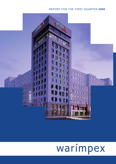# REPORT FOR THE FIRST QUARTER **2009**



# warímpex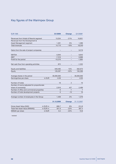# Key figures of the Warimpex Group

| <b>EUR '000</b>                             |          | Q1/2009    | <b>Change</b>  | Q1/2008*   |
|---------------------------------------------|----------|------------|----------------|------------|
| Revenues from Hotels & Resorts segment      |          | 13,254     | $-21%$         | 16,851     |
| Revenues from the Development &             |          |            |                |            |
| Asset Management segment                    |          | 1,461      | 5%             | 1,389      |
| Total revenues                              |          | 14,715     | $-19%$         | 18,240     |
| Gains from the sale of project companies    |          |            |                | 9,219      |
| <b>EBITDA</b>                               |          | $-3,840$   |                | 9,843      |
| <b>EBIT</b>                                 |          | $-7,316$   |                | 6,888      |
| Profit for the period                       |          | $-10,276$  |                | $-1,884$   |
| Net cash flow from operating activities     | 872      |            | $-1,252$       |            |
| Equity and liabilities                      |          | 649,495    | 15%            | 562,673    |
| Equity                                      |          | 126,287    | $-32%$         | 184,368    |
| Average shares in the period                |          | 36,000,000 |                | 36,000,000 |
| Earnings/loss per share                     | in EUR   | $-0.28$    |                | $-0.05$    |
| Number of hotels                            |          | 18         | $\overline{2}$ | 16         |
| Number of rooms (adjusted for proportionate |          |            |                |            |
| share of ownership)                         |          | 2,916      | 427            | 2,489      |
| Number of office and commercial properties  |          | 6          | -1             | 7          |
| Number of hotel development projects        |          | 6          | $-10$          | 16         |
| Average number of employees in the Group    | 1,409    | 2%         | 1,379          |            |
|                                             |          | 31.12.2008 | <b>Change</b>  | 31.12.2007 |
| Gross Asset Value (GAV)                     | in EUR m | 666.7      | 8%             | 614.8      |
| Triple Net Asset Value (NNNAV))             | in EUR m | 301.9      | $-22%$         | 387.4      |
| NNNAV per share                             | in EUR   | 8.4        | $-22%$         | 10.8       |

\* restated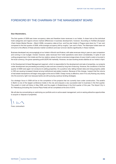# FOREWORD BY THE CHAIRMAN OF THE MANAGEMENT BOARD

#### **Dear Shareholders,**

The first quarter of 2009 saw lower occupancy rates and therefore lower revenues in our hotels. A closer look at the individual hotel categories and regions shows marked differences in business development, however. According to HotStat *(European Chain Hotels Market Review –* March 2009), occupancy rates at four- and five-star hotels in Prague were down by 17 per cent compared to the first quarter of 2008, while average occupancy fell by roughly 7 per cent in Paris. The Warimpex hotels were not immune to the effects of these adverse market conditions and saw turnover decline significantly in these markets.

Business developed very encouragingly at our hotels in Munich and Krakow, with sales revenues rising in year-on-year comparison and coming in over budget. Overall, however, sales revenues from hotel operations were down considerably. In spite of cost cutting programmes in the hotels and the low relative values of local currencies (a large share of every hotel's costs is incurred in the local currency), the gross operating profit (GOP) fell markedly. However, we saw booking levels stabilize at our hotels in April.

In the Development & Asset Management segment, which is responsible for the development and sale of properties, our projects under development are proceeding according to plan and are covered by long-term financing. However, the conditions in the first quarter of 2009 were again not conducive to selling properties. On a positive note, falling interest rates and rising property yields in CEE are causing increased interest among institutional real estate investors. Because of this change, I expect that the volume of real estate transactions will begin rising again at the end of 2009. Cheap money is effective, even if it is only flowing very slowly into the economy right now because banks are still pursuing cautious lending strategies.

Our strategic focus in 2009 will be on the completion of the projects that we currently have under construction. The andel's in Berlin is one of the largest conference hotels in the city and enjoyed a very successful start to business in the first quarter. The andel's in Łódź will follow in May 2009, and the angelo in Ekaterinburg in the third quarter of this year. The Airport City in St. Petersburg (including the Crowne Plaza Hotel) will be completed at the end of 2010.

We will also be concentrating on optimizing our portfolio and on active asset management, and on seizing attractive opportunities to acquire or dispose of properties.

J c

Franz Jurkowitsch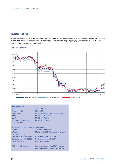## **Investor relations**

The price of the Warimpex share stabilized in the first quarter of 2009. After listing at EUR 1.25 at the end of the year, the share closed at EUR 1.28 on 31 March 2009. Starting in April 2009, the share began a gratifying climb and rose to EUR 2.50 and PLN 9.30 in Vienna and Warsaw, respectively.



## Share price performance

| Key share data                                 |                                         |
|------------------------------------------------|-----------------------------------------|
| <b>ISIN</b>                                    | AT0000827209                            |
| Number of shares                               | 36,000,000                              |
| <b>Ticker symbols</b>                          | Stock Exchanges WXF   Reuters WXFB.VI   |
| High <sup>*</sup>                              | EUR 7.47   PLN 24.80                    |
| $Low*$                                         | EUR 0.99   PLN 4.85                     |
| Price at 31 March 2009                         | EUR 1.28   PLN 6.47                     |
| * Last 52 weeks                                |                                         |
|                                                |                                         |
| Warimpex is included in the following indices: |                                         |
| Vienna                                         | <b>ATX Prime, Immobilien-ATX</b>        |
| Warsaw                                         | Market Main 250, Real estate developers |
| Research reports:                              |                                         |
| UniCredit CA-IB, 19/1/2009                     | Hold, target price EUR 1.80             |
| Sal Oppenheim, 29/4/2009                       | Hold, target price EUR 2.30             |
| RCB, 31/3/2009                                 | Hold, under review                      |
|                                                |                                         |
| 100-day trading average                        | in Vienna approximately 25,000 shares   |
|                                                | in Warsaw approximately 3,500 shares    |
|                                                |                                         |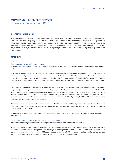## GROUP MANAGEMENT REPORT

for the quarter from 1 January to 31 March 2009

## **Economic environment**

The International Monetary Fund (IMF) significantly reduced its economic growth estimates in April 2009 (World Economic Database), and is now projecting only 0.9 per cent growth in the Eurozone in 2008 and economic contraction of 4.2 per cent for 2009. Growth in CEE is now projected at 2.9 per cent for 2008 and minus 3.7 per cent for 2009, whereby IMF calculations call for less severe rates of contraction in individual countries such as Poland (2009: -0.7 per cent). While economic output is also projected to decline by 0.4 per cent in 2010, the IMF is expecting that the CEE economy will expand again by 0.8 per cent in the same period.

## **MARKETS**

## **Poland**

#### Existing portfolio: 5 hotels, 2 office properties

Warimpex holds a 50 per cent interest in the five-star Hotel InterContinental and a 25 per cent interest in the four-star Hotel Sobieski in Warsaw.

In Krakow Warimpex owns a four-star-plus andel's hotel and the three-star Hotel Chopin. Two storeys (137 rooms) of the Hotel Chopin are currently under renovation. Once this work is completed at the end of 2009, the entire hotel will have been renovated and will sport the new design. In Miêdzyzdroje on the Baltic coast Warimpex owns the Amber Baltic Spa Resort Hotel, a hotel ship and a 27-hole golf course. The hotel ship, which has 62 rooms, was closed in the first quarter of 2009 and is to be sold this financial year.

Occupancy at the Hotel InterContinental was somewhat lower in the first quarter but continued to develop well at 68 per cent (2008: 75 per cent). The average room rate had to be lowered by roughly EUR 10 because of the marked depreciation of the Polish zloty. The occupancy rate at the Hotel Sobieski was also down (1–3/2009: 48 per cent, 1–3/2008: 61 per cent). The occupancy rate at the Hotel Chopin fell from 57 per cent to 47 per cent, and the average room rates had to be cut. The andel's in Krakow has already secured a good position on the market and saw increased occupancy (1–3/2009: 54 per cent, 1–3/2008: 48 per cent), the average room rate was reduced because of the weaker zloty.

The occupancy rate at the Amber Baltic beachfront resort fell to 19 per cent (1–3/2008: 31 per cent). Because of its location on the Baltic coast, occupancy rates at the hotel are subject to significant seasonal fluctuations not seen with city hotels, and the Easter holiday was in March in 2008.

In addition to the hotels listed above, Warimpex owns shares in the Sobieski and Parkur Tower office buildings in Warsaw through joint ventures.

#### Under development: 2 hotels, 2 office buildings, 1 shopping centre

Two hotels of the design brands andel's and angelo are under construction in Łódź and in Katowice.

The andel's in Łódź went on the market on 15 May 2009 and is currently in the soft-opening phase, where there is limited business but minor adaptations are still being made. The official grand opening will be held on 15 June. The hotel has 278 rooms and 8 conference rooms with a total space of 1,440 square metres, as well as a 1,330 square metre ballroom and a rooftop spa area with a pool offering a view of the city's roofscape. The andel's is the first four-star hotel in Łódź.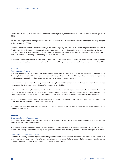Construction of the angelo in Katowice is proceeding according to plan, and the hotel is scheduled to open in the first quarter of 2010.

An office building owned by Warimpex in Krakow is to be converted into a modern office complex. Planning for this project began in the third quarter of 2008.

Warimpex owns one of the few historical buildings in Warsaw. Originally, the plan was to convert the property into a five-star Le Palais luxury hotel. The construction permit for this was issued in September 2008. As rental rates for offices in the central business district have risen considerably in the meantime, however, the property will now be developed into an office building instead of a hotel. The planning of the building began at the end of 2008.

In Białystok, Warimpex has commenced development of a shopping centre with approximately 19,000 square metres of lettable retail space and 11,000 square metres of lettable office space. Building permission is expected to be granted in the middle of 2009.

## **Czech Republic**

## Existing portfolio: 7 hotels

In Prague, the Warimpex Group owns the three five-star hotels Palace, Le Palais and Savoy, all of which are members of the "Leading Hotels of the World". Warimpex acquired the building adjacent to the Hotel Savoy in 2007 and plans to expand the hotel by approximately 25 additional rooms as well as enlarging the conference facilities.

In the four-star hotel segment the Group owns the Hotel Diplomat and the angelo hotels in Prague and Plzen. Warimpex also consolidates the Dvořák spa hotel in Karlovy Vary according to IAS/IFRS.

In the period under review, the occupancy rates at the two four-star hotels in Prague were roughly 31 per cent and 42 per cent (1–3/2008: 46 per cent and 51 per cent), while occupancy rates of between 27 per cent and 35 per cent were achieved in the five-star segment (1–3/2008: between 37 per cent and 58 per cent). The average room rates declined in both segments.

At the Hotel Dvořák in Karlovy Vary, the occupancy rate in the first three months of the year was 78 per cent (1–3/2008: 86 per cent). However, the average room rate was raised slightly.

Another angelo hotel with 144 rooms was opened in Plzen on 1 October 2008. The hotel's occupancy rate was 20 per cent in the first three months of 2009.

#### **Hungary**

## Existing portfolio: 4 office properties

In Budapest Warimpex owns the Csalogany, Erzsebet, Dioszegi and Sajka office buildings, which together have a total net floor space of around 17,000 square metres.

The tenant in the Csalogany office building, which has roughly 2,500 square metres of lettable space, terminated its lease at the end of 2008. The building was rented to the city of Budapest as a courthouse in the first quarter of 2009 and is now again fully let out.

#### development: 1 budget hotel, 1 office

Warimpex is currently modernizing and redeveloping the two towers of the Erzsebet office complex. Tower B was handed over to the tenant at the beginning of May after the renovation work was completed and is now fully let out. Lease negotiations are currently underway for tower A, which is also to be modernized and let out.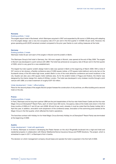#### **Romania**

## Existing portfolio: 1 hotel

The angelo airport hotel in Bucharest, which Warimpex acquired in 2007 and expanded by 69 rooms in 2008 along with adapting it to the angelo design, saw a very low occupancy rate of 31 per cent in the first quarter (1–3/2008: 50 per cent). However, the gross operating profit (GOP) remained constant compared to the prior year thanks to cost cutting measures at the hotel.

## **Germany**

## Existing portfolio: 2 hotels

Warimpex holds 50 per cent each of the angelo in Munich and the andel's in Berlin.

The Warimpex Group's first hotel in Germany, the 146-room angelo in Munich, was opened at the end of May 2008. The angelo in Munich was developed in a joint venture with UBM. The hotel has achieved an occupancy rate of 59 per cent in the first quarter of 2009, which is very good for a new establishment.

The largest four-star superior andel's design hotel to date was opened in Berlin at the beginning of March 2009. With a total of 557 rooms on ten storeys, a flexible conference area of 3,800 square metres, a 570 square metre ballroom and a sky bar on the fourteenth storey of the 60-metre-high tower, andel's Berlin is one of the most attractive conference and event locations in the city. Guests can also use a 550 square metre wellness area. As for the andel's hotels in Prague and Krakow, the interior was designed by the interior design firm Jestico & Whiles, London. The hotel was developed in only nineteen months through a joint venture with UBM, at a total investment of roughly EUR 102 million.

## Under development: 1 hotel, 1 office building

Plans for the second phase of the angelo Munich project foresee the construction of city archives, an office building and a second hotel on the site.

## **France**

#### Existing portfolio: 2 hotels

In Paris, Warimpex and its long-term partner UBM are the joint leaseholders of the four-star Hotel Dream Castle and the four-star Magic Circus at Disneyland® Resort Paris, each of which have 400 rooms. Occupancy rates at the hotels were down in the first three months of 2009 at 47 and 32 per cent (2008: 66 and 54 per cent), whereby it must be noted that the Easter holiday fell in April this year. In addition, renovation work (expansion of the conference areas, renovation of the swimming pool) started at the Magic Circus in the first quarter, which affected the hotel's operations.

The franchise contract with Holiday Inn for Hotel Magic Circus (formerly Holiday Inn at Disneyland® Resort Paris) was terminated at the beginning of 2009.

#### **Austria**

## Under development: 1 hotel with apartments

In Vienna, Warimpex is involved in developing the Palais Hansen on the city's Ringstraße boulevard into a high-end hotel and residential property in collaboration with Wiener Städtische/Vienna Insurance Group and PORR Solutions. The project, which is scheduled to open in 2011, is Warimpex's first in Austria.

The decision on which management company should lease and operate the hotel is expected in the first half of 2009.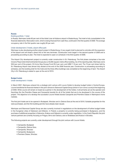#### **Russia**

#### Existing portfolio: 1 hotel

In Russia, Warimpex holds 60 per cent of the Hotel Liner at Koltsovo airport in Ekaterinburg. The hotel is fully consolidated in the financial statements. Renovation work, which is being financed from cash flow, continued in the first quarter of 2009. The average occupancy rate in the first quarter was roughly 65 per cent.

## Under development: 2 hotels, airport office park

Warimpex is also developing another airport project in Ekaterinburg. A new angelo hotel is planned to coincide with the expansion of the airport and will boast a direct link to the new terminals. Construction work began in the second quarter of 2008 and is proceeding according to plan. The hotel is expected to open on schedule in the third quarter of 2009.

The Airport City development project is currently under construction in St. Petersburg. The first phase comprises a four-star Crowne Plaza hotel (InterContinental Group) plus a 40,000-square-metre office building. As of the reporting date, Warimpex owns 58.8 per cent of the project, CA Immo New Europe Fund 29.4 per cent, and UBM 11.8 per cent. The 15 per cent share held by St. Petersburg Airport was almost fully diluted at the end of the 2008 financial year. Construction is proceeding according to schedule, and the building shell for the hotel and the three office buildings was completed at the beginning of April. The Airport City in St. Petersburg is slated to open at the end of 2010.

## **Budget hotels**

## Under development: 4 hotels

In March 2007, Warimpex entered into a strategic joint venture with Louvre Hotels to develop budget hotels in Central Europe. Louvre transferred its financial interest in this joint venture to Starwood Capital Group (which in turn owns Louvre) at the beginning of 2009. While Louvre will remain on board as a partner in the development of the hotels, it will primarily act as the operator and franchiser (for the Première Classe and Campanile brands) for all of the hotels that are to be developed in the course of the project. The objective is to develop the successful Louvre Hotels brands Campanile and Première Classe in Warimpex's home markets.

The first joint hotels are to be opened in Budapest, Wroclaw and in Zielona Gora at the end of 2010. Suitable properties for this were purchased, and the first building permits have already been issued.

Warimpex and Starwood Capital Group are also currently involved in negotiations on the development of further budget hotels in the Hungarian cities of Debrecen and Miskolc. In Poland, a property is currently being purchased in Bydgoszcz, and the purchase of additional properties in Katowice, Krakow and Gdansk is currently under negotiation. In the Czech Republic the joint venture partners are currently focusing on Prague, Brno and Ostrava, and on Bratislava and Kosice in Slovakia.

The following projects are currently under development through the joint venture with Louvre Hotels:

- Campanile, Budapest
- Campanile, Zielona Gora
- Campanile, Wroclaw
- Campanile, Bydgoszcz
- Premiere Classe, Wroclaw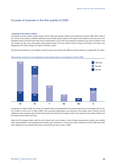## Focuses of business in the first quarter of 2009

## • **Opening of the andel's in Berlin**

The largest four-star superior andel's design hotel to date was opened in Berlin at the beginning of March 2009. With a total of 557 rooms on ten storeys, a flexible conference area of 3,800 square metres, a 570 square metre ballroom and a sky bar on the fourteenth storey of the 60-metre-high tower, andel's Berlin is one of the most attractive conference and event locations in the city. Guests can also use a 550 square metre wellness area. As for the andel's hotels in Prague and Krakow, the interior was designed by the interior design firm Jestico & Whiles, London.

The hotel was developed in only nineteen months through a joint venture with UBM, at a total investment of roughly EUR 102 million.



Hotel portfolio (number of rooms adjusted for proportionate share of ownership) at 31 March 2009

Compared to 31 March 2008, the number of available hotel rooms (adjusted for the proportionate share of ownership) rose by 427, from 2,489 to 2,916, as of 31 March 2009. This is primarily attributable to the opening of the angelo hotel in Munich, the 69 additional rooms at angelo airport hotel in Bucharest, the opening of the angelo in Plzen, the opening of the andel's in Berlin and the closing of the Hansa hotel ship.

Aside from the budget hotels under the joint venture with Louvre Hotels, a total of eleven development projects are currently under implementation. Five properties are currently under construction, of which two further hotels with a total of 488 rooms (404 when adjusted for the proportionate share of ownership) are due to open in 2009.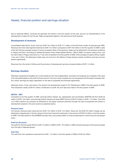## Assets, financial position and earnings situation

Due to seasonal effects, revenues are generally the lowest in the first quarter of the year, and are not representative of the development of sales for the full year. Sales are generally highest in the second and third quarters.

## **Development of revenues**

Consolidated sales fell by 19 per cent from EUR 18.2 million to EUR 14.7 million in the first three months of financial year 2009. Revenues from the hotel segment declined to EUR 13.3 million compared to EUR 16.8 million in the first quarter of 2008 in spite of the fact that the average number of rooms increased. Most of this decline in sales can be attributed to the adverse conditions in Prague and Paris. According to HotStat (*European Chain Hotels Market Review* – March 2009), occupancy rates at four- and five-star hotels in Prague were down by 17 per cent compared to the first quarter of 2008, while average occupancy fell by roughly 7 per cent in Paris. The Warimpex hotels were not immune to the effects of these adverse market conditions and saw turnover decline significantly.

Revenues from the rental of offices and the provision of development services remained stable at EUR 1.5 million.

## **Earnings situation**

Warimpex recognizes its tangible non-current assets at cost minus depreciation, and does not recognize any increases in the value of its real estate assets in the profit and loss account. Any such value increases are not recognized until the asset is actually sold. As a result, earnings are highly dependent on the sale of properties and fluctuate significantly.

Warimpex sold a 10 per cent share in the Airport City development project in St. Petersburg to UBM in the first quarter of 2008. This transaction made a EUR 9.2 million contribution to profit. No such sale was made in the first quarter of 2009.

## **EBITDA – EBIT**

Compared to the first quarter of 2008, earnings before interest, tax, depreciation and amortization (EBITDA) fell from EUR 9.8 million to EUR -3.8 million, and earnings before interest and taxes (EBIT) fell from EUR 6.9 million to EUR -7.3 million. This EUR 14.2 million decline can primarily be attributed to the higher revenues achieved through the sale of properties and shares in development projects in the prior period as explained above.

#### **Financial result**

The Group's financial result improved from EUR -9.5 million to EUR -2.6 million. Above all, this EUR 6.9 million change can be attributed to adjustments in the fair values of short-term financial investments in the amount of EUR 5.9 million in the first quarter of 2008. The hefty decline in the EURIBOR has also had a very positive effect on finance expenses for current-account and project loans.

## **Profit for the period**

The profit for the first quarter fell from EUR 1.9 million in 2008 to EUR -10.3 million in 2009, primarily because of the lower proceeds from the sale of disposal groups.

#### **Cash flow**

The cash flow from operations improved from EUR -1.3 million in the first quarter of 2008 to EUR 0.9 million.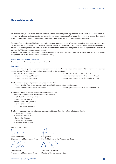## Real estate assets

At 31 March 2009, the real estate portfolio of the Warimpex Group comprised eighteen hotels with a total of 4,300 rooms (2,916 rooms when adjusted for the proportionate share of ownership), plus seven office properties with a total lettable floor area of some 32,000 square metres (23,000 square metres when adjusted for the proportionate share of ownership).

Because of the provisions of IAS 40.12 pertaining to owner-operated hotels, Warimpex recognizes its properties at cost less depreciation and amortization. Any increases in the value of other properties are not recognized in profit in the respective reporting period. To allow comparison with other real estate companies that report unrealized profits, Warimpex reports the triple net asset value (NNNAV) in its Group management report.

All existing real estate and development projects are valuated twice annually (at 30 June and 31 December) by the international independent real estate appraiser CB Richard Ellis (CBRE).

## **Events after the balance sheet date**

There were no material events after the reporting date.

## **Outlook**

Eleven real estate projects are currently under construction or in advanced stages of development (not including the planned budget hotels). The following hotel projects are currently under construction:

- 
- 
- 

• andel's, Łódź, 278 rooms (opening scheduled for 15 June 2009)

- angelo, Ekaterinburg, 210 rooms (opening scheduled for the third quarter of 2009)
- angelo, Katowice, 203 rooms (opening scheduled for the first quarter of 2010)

The following development project is also under construction:

• Airport City, St. Petersburg, business park with 40,000 square metres of office space and an international hotel with 300 rooms (opening scheduled for the fourth quarter of 2010)

The following projects are in advanced stages of development:

- Redevelopment of tower A at Erzsebet office complex
- Le Palais office building, Warsaw
- Office building, Krakow
- Hotel/office building Munich
- Palais Hansen, Vienna
- Shopping centre, Białystok

The following projects are currently under development through the joint venture with Louvre Hotels:

- Campanile, Budapest
- Campanile, Zielona Gora
- Campanile, Wroclaw
- Campanile, Bydgoszcz
- Premiere Classe, Wroclaw

Vienna, 22 May 2009

Franz Jurkowitsch Georg Folian

Christian Fojtl **Alexander Jurkowitsch** Member of the Management Board Member of the Management Board

Chairman of the Management Board Deputy Chairman of the Management Board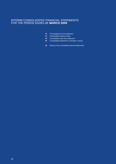## INTERIM CONSOLIDATED FINANCIAL STATEMENTS FOR THE PERIOD ENDED **31 MARCH 2009**

- Consolidated income statement
- Consolidated balance sheet
- Consolidated cash flow statement
- Consolidated statement of changes in equity
- 19 Notes to the consolidated financial statements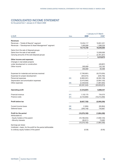# CONSOLIDATED INCOME STATEMENT

for the period from 1 January to 31 March 2009

|                                                               | 1 January to 31 March |                |                |  |  |  |
|---------------------------------------------------------------|-----------------------|----------------|----------------|--|--|--|
| in EUR                                                        | <b>Note</b>           | 2009           | 2008*          |  |  |  |
|                                                               |                       |                |                |  |  |  |
| <b>Revenues</b>                                               |                       |                |                |  |  |  |
| Revenues – "Hotels & Resorts" segment                         |                       | 13,254,117     | 16,851,221     |  |  |  |
| Revenues – "Development & Asset Management" segment           |                       | 1,460,608      | 1,389,329      |  |  |  |
|                                                               |                       | 14,714,725     | 18,240,550     |  |  |  |
| Gains from the sale of disposal groups                        |                       |                |                |  |  |  |
| Gains from the sale of real estate                            |                       |                | 12,000,000     |  |  |  |
| Carrying amounts of the sold disposal groups                  |                       |                | (2,781,327)    |  |  |  |
|                                                               |                       |                | 9,218,673      |  |  |  |
| Other income and expenses                                     |                       |                |                |  |  |  |
| Changes in real estate projects                               |                       |                |                |  |  |  |
| under development or construction                             |                       |                | (49, 667)      |  |  |  |
| Other income                                                  |                       | 260,809        | 132,765        |  |  |  |
|                                                               |                       | 260,809        | 83,098         |  |  |  |
| Expenses for materials and services received                  |                       | (7,760,681)    | (9,273,035)    |  |  |  |
| Expenses for project development                              |                       | (643, 074)     | (226, 756)     |  |  |  |
| Personnel expenses                                            | [05]                  | (5,963,591)    | (6,302,128)    |  |  |  |
| Depreciation and amortization expenses                        |                       | (3,475,564)    | (2,954,120)    |  |  |  |
| Other expenses                                                | [06]                  | (4, 448, 633)  | (1,897,835)    |  |  |  |
|                                                               |                       | (22, 291, 542) | (20, 653, 874) |  |  |  |
|                                                               |                       |                |                |  |  |  |
| <b>Operating profit</b>                                       |                       | (7,316,007)    | 6,888,447      |  |  |  |
| Financial revenue                                             | $[07]$                | 1,132,175      | 734,575        |  |  |  |
| Finance costs                                                 | [07]                  | (3,743,893)    | (10, 213, 260) |  |  |  |
| <b>Profit before tax</b>                                      |                       | (9,927,725)    | (2,590,239)    |  |  |  |
| Current income taxes                                          | [08]                  | (1,694)        | (35,064)       |  |  |  |
| Deferred taxes                                                | [08]                  | (346, 746)     | 740,867        |  |  |  |
| Profit for the period                                         |                       | (10, 276, 165) | (1,884,436)    |  |  |  |
| Attributable to:                                              |                       |                |                |  |  |  |
| - Equity holders of the parent                                |                       | (10, 180, 254) | (1,958,120)    |  |  |  |
| - Minority interests                                          |                       | (95, 911)      | 73,683         |  |  |  |
|                                                               |                       | (10, 276, 165) | (1,884,436)    |  |  |  |
| Earnings per share:                                           |                       |                |                |  |  |  |
| Undiluted = basic, for the profit for the period attributable |                       |                |                |  |  |  |
|                                                               |                       |                |                |  |  |  |
| to ordinary equity holders of the parent                      |                       | (0.28)         | (0.05)         |  |  |  |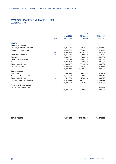# CONSOLIDATED BALANCE SHEET

as of 31 March 2009

|                               |             |             | as of       |             |
|-------------------------------|-------------|-------------|-------------|-------------|
|                               |             | 31.3.2009   | 31.12.2008  | 31.3.2008*  |
|                               | <b>Note</b> | unaudited   | audited     | unaudited   |
| <b>ASSETS</b>                 |             |             |             |             |
| Non-current assets            |             |             |             |             |
| Property, plant and equipment |             | 388,055,571 | 337,675,134 | 339,873,410 |
| Plant under construction      |             | 108,498,371 | 136,466,751 | 77,328,448  |
|                               | [09]        | 496,553,942 | 474,141,885 | 417,201,858 |
| Investment properties         | $[10]$      | 42,412,271  | 39,255,823  | 17,662,946  |
| Goodwill                      |             | 2,350,892   | 2,350,892   | 9,584,254   |
| Other intangible assets       |             | 3,138,529   | 3,402,304   | 234,587     |
| Associated companies          |             | 9,379,429   | 9,189,950   | 8,391,503   |
| Other financial assets        |             | 51,836,177  | 50,140,248  | 48,383,654  |
| Deferred tax assets           |             | 4,055,876   | 3,836,593   | 3,919,918   |
|                               |             | 609,727,116 | 582,317,695 | 505,378,720 |
| <b>Current assets</b>         |             |             |             |             |
| Inventories                   |             | 1,504,215   | 1,652,909   | 2,316,769   |
| Trade and other receivables   |             | 18,511,559  | 23,369,764  | 29,902,912  |
| Other financial assets        | $[13]$      | 512,773     | 1,736,933   | 338,018     |
| Cash and short-term deposits  |             | 19,239,186  | 33,112,348  | 20,100,533  |
|                               |             | 39,767,732  | 59,871,957  | 52,658,232  |
| Assets of a disposal group    |             |             |             |             |
| classified as held for sale   |             |             |             | 4,635,761   |
|                               |             | 39,767,732  | 60,333,537  | 57,293,993  |

**TOTAL ASSETS** 649,494,848 642,189,648 562,672,713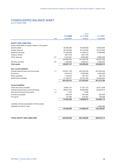# CONSOLIDATED BALANCE SHEET

as of 31 March 2009

|                                                     |             |               | as of       |             |
|-----------------------------------------------------|-------------|---------------|-------------|-------------|
|                                                     |             | 31.3.2009     | 31.12.2008  | 31.3.2008*  |
|                                                     | <b>Note</b> | unaudited     | audited     | unaudited   |
| <b>EQUITY AND LIABILITIES</b>                       |             |               |             |             |
|                                                     |             |               |             |             |
| Equity attributable to equity holders of the parent |             |               |             |             |
| Issued capital                                      |             | 36,000,000    | 36,000,000  | 36,000,000  |
| Capital reserves                                    |             | 55,576,939    | 55,576,939  | 55,576,939  |
| Retained earnings                                   |             | 31,300,658    | 41,480,912  | 77,696,899  |
| Treasury shares                                     |             | (291, 019)    | (291, 019)  |             |
| Other reserves                                      | [09]        | 2,472,501     | 8,282,960   | 9,668,328   |
|                                                     |             | 125,059,079   | 141,049,792 | 178,942,166 |
| <b>Minority interests</b>                           | [09]        | 1,228,029     | 4,456,241   | 5,426,250   |
| <b>Total equity</b>                                 |             | 126,287,107   | 145,506,032 | 184,368,415 |
| <b>Non-current liabilities</b>                      |             |               |             |             |
| Interest-bearing loans and borrowings               | [11]        | 378, 341, 766 | 352,232,532 | 225,456,546 |
| Provisions                                          |             | 4,070,975     | 4,083,826   | 3,326,466   |
| Other payables                                      |             | 1,103,354     | 851,914     | 786,133     |
| Deferred tax liabilities                            |             | 21,189,377    | 20,707,325  | 22,005,645  |
|                                                     |             | 404,705,472   |             |             |
|                                                     |             |               | 377,875,597 | 251,574,790 |
| <b>Current liabilities</b>                          |             |               |             |             |
| Trade and other payables                            |             | 16,987,724    | 27,027,724  | 30,971,838  |
| Interest-bearing loans and borrowings               | [11]        | 99,837,944    | 90,006,995  | 90,259,374  |
| Derivative financial instruments                    | $[13]$      | 5,162         | 5,290       |             |
| Income tax payable                                  |             | 933,446       | 951,650     | 692,249     |
| Provisions                                          |             | 737,992       | 816,361     | 736,658     |
|                                                     |             | 118,502,268   | 118,808,019 | 122,660,119 |
| Liabilities directly associated with the assets     |             |               |             |             |
| classified as held for sale                         |             |               |             | 4,069,388   |
|                                                     |             | 118,502,268   | 118,808,019 | 126,729,507 |
|                                                     |             |               |             |             |

| <b>TOTAL EQUITY AND LIABILITIES</b> |
|-------------------------------------|
|-------------------------------------|

**TOTAL EQUITY AND LIABILITIES 649,494,848 642,189,648 562,672,713**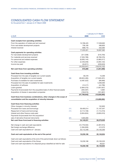# CONSOLIDATED CASH FLOW STATEMENT

for the period from 1 January to 31 March 2009

|                                                                                                                     |             |                | 1 January to 31 March         |
|---------------------------------------------------------------------------------------------------------------------|-------------|----------------|-------------------------------|
| in EUR                                                                                                              | <b>Note</b> | 2009           | 2008                          |
|                                                                                                                     |             |                |                               |
| Cash receipts from operating activities<br>From the operation of hotels and rent received                           |             | 15,768,425     | 17,538,663                    |
| From real estate development projects                                                                               |             | 758,180        | 496,803                       |
| Interest received                                                                                                   |             | 698,716        | 332,095                       |
|                                                                                                                     |             | 17,225,321     | 18,367,562                    |
| Cash payments for operating activities                                                                              |             |                |                               |
| For real estate development projects                                                                                |             | (511,038)      | (516, 793)                    |
| For materials and services received                                                                                 |             | (7, 355, 789)  | (8,796,576)                   |
| For personnel and related expenses                                                                                  |             | (6,005,144)    | (5,985,017)                   |
| For other expenses                                                                                                  |             | (2,446,259)    | (4,094,122)                   |
| Income tax paid                                                                                                     |             | (34, 811)      | (226, 643)                    |
|                                                                                                                     |             | (16, 353, 041) |                               |
|                                                                                                                     |             | 872,280        | (19,619,152)<br>(1, 251, 590) |
| Net cash flows from operating activities                                                                            |             |                |                               |
| Cash flows from investing activities                                                                                |             |                |                               |
| Proceeds from the sale of tangible non-current assets                                                               |             | 39,478         | 15,269                        |
| Acquisition of tangible non-current assets                                                                          | [09]        | (39, 924, 485) | (17, 840, 491)                |
| Purchase of available-for-sale investments                                                                          |             | (4,487,522)    | (99,066)                      |
| Proceeds from the sale of available-for-sale investments                                                            |             |                | 4,206,000                     |
| Acquisition of software                                                                                             |             | (12, 417)      | (44, 788)                     |
| Loans granted                                                                                                       |             | (2,964,375)    | (1,907,837)                   |
| Payments for/proceeds from the acquisition/sale of other financial assets                                           |             | (294, 307)     | 5,684                         |
| Acquisition of shares in associated companies                                                                       |             | (156, 015)     | (161, 667)                    |
|                                                                                                                     |             | (47, 799, 642) | (15,826,895)                  |
| Cash flows from business combinations, other changes in the scope of                                                |             |                |                               |
| consolidation and the acquisition of minority interests                                                             |             |                | (13,899,060)                  |
|                                                                                                                     |             |                |                               |
| Cash flows from financing activities                                                                                |             |                |                               |
| Other changes in minority interests                                                                                 |             |                | 132,803<br>31,167,047         |
| Proceeds from loans and borrowings                                                                                  | [11]        | 39,495,014     |                               |
| Repayment of loans and borrowings                                                                                   | [11]        | (3, 114, 159)  | (1, 114, 310)                 |
| Interest and other finance costs paid                                                                               |             | (3,834,824)    | (3,605,910)                   |
| Payments for/proceeds from the acquisition/                                                                         |             |                |                               |
| sale of derivative financial instruments                                                                            | $[07]$      | 1,603,000      |                               |
| Net cash flows from/used in financing activities                                                                    |             | 34,149,031     | 26,579,630                    |
| Net change in cash and cash equivalents                                                                             |             | (12, 778, 332) | (4,397,915)                   |
| Net foreign exchange difference                                                                                     |             | (1,094,830)    | 412,570                       |
| Cash and cash equivalents at 1 January                                                                              |             | 33,112,348     | 24,135,200                    |
| Cash and cash equivalents at the end of the period                                                                  |             | 19,239,186     | 20,149,854                    |
|                                                                                                                     |             |                |                               |
| Cash and cash equivalents at the end of the period break down as follows:<br>Cash and cash equivalents of the Group |             |                |                               |
| Cash and cash equivalents of a disposal group classified as held for sale                                           |             | 19,239,186     | 20,100,533<br>49,321          |
|                                                                                                                     |             | 19,239,186     | 20,149,854                    |
|                                                                                                                     |             |                |                               |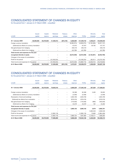# CONSOLIDATED STATEMENT OF CHANGES IN EQUITY

for the period from 1 January to 31 March 2009 – unaudited

|                                                |            | <b>Issued</b> | Capital    | Retained       | <b>Treasury</b>          | Other       |                | Minority         | Total          |
|------------------------------------------------|------------|---------------|------------|----------------|--------------------------|-------------|----------------|------------------|----------------|
| in EUR                                         |            | capital       | reserve    | earnings       | shares                   | reserves    | <b>TOTAL</b>   | <b>interests</b> | equity         |
| At 1 January 2009                              | 36,000,000 |               | 55,576,939 | 41,480,912     | (291, 019)               | 8,282,960   | 141,049,742    | 4,456,241        | 145,506,033    |
| Foreign currency translation                   |            |               |            |                | $\overline{\phantom{0}}$ | (6,065,074) | (6,065,074)    | (3, 192, 083)    | (9, 257, 157)  |
| (Deferred) tax effects of currency translation |            |               |            |                | -                        | 67,975      | 67,975         | 59,782           | 127,757        |
| Net gains/losses from hedging                  |            |               |            |                | -                        | 230,418     | 230,418        |                  | 230,418        |
| (Deferred) tax effects from hedging            |            |               |            |                | -                        | (43,780)    | (43,780)       |                  | (43, 780)      |
| Total income and expenses for the year         |            |               |            |                |                          |             |                |                  |                |
| recognized directly in equity                  |            |               |            |                | $\overline{\phantom{0}}$ | (5,810,459) | (5,810,459)    | (3, 132, 301)    | (8,942,760)    |
| Changes in the scope of consolidation          |            |               |            |                |                          |             |                |                  |                |
| Profit for the period                          |            |               | -          | (10, 180, 254) |                          |             | (10, 180, 254) | (95, 911)        | (10, 276, 165) |
| Total income and expenses for the period       |            |               | -          | (10, 180, 254) | -                        | (5,810,459) | (15,990,713)   | (3,228,212)      | (19, 218, 925) |
| At 31 March 2009                               | 36,000,000 |               | 55,576,939 | 31,300,658     | (291, 019)               | 2,472,501   | 125,059,079    | 1,228,029        | 126,287,108    |

# CONSOLIDATED STATEMENT OF CHANGES IN EQUITY

|                                                | <b>Issued</b>            | Capital    | Retained    | <b>Treasury</b>          | Other      |              | Minority         | <b>Total</b> |
|------------------------------------------------|--------------------------|------------|-------------|--------------------------|------------|--------------|------------------|--------------|
| in EUR                                         | capital                  | reserve    | earnings    | shares                   | reserves   | <b>TOTAL</b> | <b>interests</b> | equity       |
| At 1 January 2008                              | 36,000,000               | 55,576,939 | 79,655,018  | -                        | 5,808,226  | 177,040,183  | 267,838          | 177,308,021  |
| Foreign currency translation                   |                          |            |             |                          | 92,368     | 92,368       | 3,465            | 95,832       |
| (Deferred) tax effects of currency translation |                          |            | -           | -                        | (2,338)    | (2, 338)     |                  | (2, 338)     |
| Revaluation of land and buildings              |                          |            |             | -                        | 4,833,769  | 4,833,769    |                  | 4,833,769    |
| (Deferred) tax effects from revaluation        |                          |            | -           | -                        | (918, 416) | (918, 416)   | -                | (918, 416)   |
| Net gains/losses from hedging                  |                          |            |             | -                        | (179, 359) | (179, 359)   | (969)            | (180, 329)   |
| (Deferred) tax effects from hedging            |                          |            |             | -                        | 34,078     | 34,078       | 184              | 34,262       |
| Total income and expenses for the year         |                          |            |             |                          |            |              |                  |              |
| recognized directly in equity                  |                          |            |             | $\overline{\phantom{0}}$ | 3,860,102  | 3,860,102    | 2,679            | 3,862,781    |
| Changes in the scope of consolidation          |                          |            |             |                          |            | -            | 5,082,049        | 5,082,049    |
| Profit for the period                          |                          | -          | (1,958,119) |                          | -          | (1,958,119)  | 73,683           | (1,884,436)  |
| Total income and expenses for the period       | $\overline{\phantom{m}}$ | -          | (1,958,119) | $\qquad \qquad -$        | 3,860,102  | 1,901,983    | 5,158,411        | 7,060,394    |
| At 31 March 2008                               | 36,000,000               | 55,576,939 | 77,696,899  | -                        | 9,668,328  | 178,942,166  | 5,426,250        | 184,368,415  |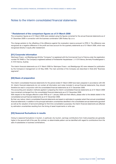## Notes to the interim consolidated financial statements

## **\* Restatement of the comparison figures as of 31 March 2008**

The comparison figures as of 31 March 2008 were restated using the figures corrected for the annual financial statements as of 31 December 2008 in connection with the business combination UBX Krakau Sp.z.o.o.

The change pertains to the offsetting of the difference against the revaluation reserve pursuant to IFRS 3. The difference was recognized as a negative difference in the profit and loss account for the quarterly statements as of 31 March 2008, which was recognized directly in equity after restatement.

## **[01] Corporate information**

Warimpex Finanz- und Beteiligungs AG (the "Company") is registered with the Commercial Court of Vienna under the registration number FN 78485 w. The Company's registered address is Floridsdorfer Hauptstrasse 1, A 1210 Vienna, (formerly Porzellangasse 4, A-1010 Vienna, Austria).

The interim financial statements as of 31 March 2009 for Warimpex Finanz- und Beteiligungs AG were released for publication by the Company's management on 22 May 2009. The main activities of the Company are described in Note [04] "Business segments".

## **[02] Basis of preparation**

The interim consolidated financial statements for the period ended 31 March 2009 have been prepared in accordance with IAS 34. Interim financial statements do not contain all information and notes included in annual financial statements; they should therefore be read in conjunction with the consolidated financial statements as of 31 December 2008.

The accounting and valuation methods applied in preparing the interim consolidated financial statements as of 31 March 2009 have remained unchanged from the consolidated financial statements as of 31 December 2008.

With respect to the changes effective under IFRS as of 1 January 2009 and their effects, please refer to the details stated in the consolidated annual financial statements as of 31 December 2008.

By their very nature, interim consolidated financial statements are based on estimates to a greater extent than annual consolidated financial statements. In addition to the principal estimation uncertainties identified in the consolidated annual statements (goodwill as well as the valuation of land and buildings for first-time consolidation purposes), the interim financial statements are affected by estimation uncertainties resulting from the timing of asset impairments or write-ups.

## **[03] Seasonal fluctuations in results**

Owing to seasonal fluctuations in tourism, in particular city tourism, earnings contributions from hotel properties are generally higher in the second half of the year. By contrast, no determinable pattern can be identified with regard to contributions from the sale of subsidiaries or business combinations.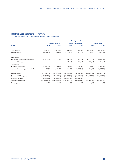## **[04] Business segments – overview**

|                                          | <b>Development &amp;</b> |                             |                 |                         |                     |                 |  |
|------------------------------------------|--------------------------|-----------------------------|-----------------|-------------------------|---------------------|-----------------|--|
|                                          |                          | <b>Hotels &amp; Resorts</b> |                 | <b>Asset-Management</b> | <b>Total in EUR</b> |                 |  |
| in EUR                                   | 2009                     | 2008*                       | 2009            | 2008*                   | 2009                | 2008*           |  |
|                                          |                          |                             |                 |                         |                     |                 |  |
| <b>External sales</b>                    | 13,254,117               | 16,851,221                  | 1,460,608       | 1,389,329               | 14,714,725          | 18,240,550      |  |
| Segment results                          | (4,595,388)              | (318, 827)                  | (2,720,619)     | 7,207,274               | (7,316,007)         | 6,888,447       |  |
| <b>Investments</b>                       |                          |                             |                 |                         |                     |                 |  |
| • In tangible fixed assets and software  | 32,947,820               | 15,433,157                  | 5,229,817       | 4,662,128               | 38,177,637          | 20,095,285      |  |
| • In financial assets                    |                          |                             | 4,317,046       | 2,469,217               | 4,317,046           | 2,469,217       |  |
| Depreciation                             |                          |                             |                 |                         |                     |                 |  |
| • Ordinary depreciation                  | (3,353,080)              | (2,728,856)                 | (122, 484)      | (225, 265)              | (3,475,564)         | (2,954,120)     |  |
| Net cash flows from operating activities | 485,752                  | 1,902,926                   | 386,528         | (3, 154, 516)           | 872,280             | (1, 251, 590)   |  |
| Segment assets                           | 511,596,806              | 431,222,544                 | 137,898,042     | 131,450,169             | 649,494,848         | 562,672,713     |  |
| Segment liabilities (gross)              | (433, 884, 175)          | (317, 840, 101)             | (89, 323, 566)  | (60, 464, 196)          | (523, 207, 740)     | (378, 304, 298) |  |
| Intragroup financing                     | 36,865,644               | 39,524,333                  | (36, 865, 644)  | (39, 524, 333)          |                     |                 |  |
| Segment liabilities (net)                | (397, 018, 531)          | (278, 315, 768)             | (126, 189, 210) | (99,988,530)            | (523, 207, 740)     | (378, 304, 298) |  |
| Average payroll                          | 1,323                    | 1,318                       | 86              | 61                      | 1,409               | 1,379           |  |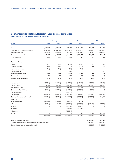# **Segment results "Hotels & Resorts" – year-on-year comparison**

|                                      | Luxury        |                          |               | <b>Upmarket</b> | <b>Others</b> |            |  |
|--------------------------------------|---------------|--------------------------|---------------|-----------------|---------------|------------|--|
| in EUR                               | 2009          | 2008*                    | 2009          | 2008*           | 2009          | 2008*      |  |
| Sales revenues                       | 3,329,759     | 4,842,040                | 8,942,007     | 10,804,730      | 982,351       | 1,204,452  |  |
| Cash paid for materials and services | (1,604,387)   | (2, 144, 647)            | (4,597,477)   | (5,255,225)     | (357, 232)    | (309, 202) |  |
| Personnel expenses                   | (1, 277, 222) | (1,530,680)              | (3, 150, 050) | (2,980,568)     | (378, 153)    | (288, 309) |  |
| <b>Gross operating profit</b>        | 448,149       | 1,166,713                | 1,194,480     | 2,568,937       | 246,967       | 606,941    |  |
| Hotel employees                      | 325           | 365                      | 831           | 806             | 150           | 104        |  |
| Rooms available                      |               |                          |               |                 |               |            |  |
| Total                                | 661           | 661                      | 3,131         | 2,372           | 378           | 339        |  |
| thereof available                    | 670           | 661                      | 3,129         | 2,372           | 368           | 339        |  |
| Joint venture share                  | (206)         | (202)                    | (931)         | (718)           |               |            |  |
| Time allocation                      |               | $\overline{\phantom{0}}$ | (263)         |                 | L,            | (102)      |  |
| Rooms available Group                | 463           | 459                      | 1,935         | 1,654           | 368           | 237        |  |
| Rooms sold                           | 226           | 277                      | 772           | 870             | 178           | 145        |  |
| Average room occupancy               | 49%           | 60%                      | 40%           | 53%             | 48%           | 61%        |  |
| Management fee                       | (165, 817)    | (241, 198)               | (342, 246)    | (518, 143)      | (29, 934)     | (60, 180)  |  |
| Property costs                       | (193, 754)    | (128, 955)               | (581, 949)    | (329, 349)      | (122, 997)    | (34, 837)  |  |
| Net operating profit                 | 88,578        | 796,560                  | 270,285       | 1,721,445       | 94,036        | 511,923    |  |
| Other costs after GOP (net)          | (88, 430)     | (114, 749)               | (341, 681)    | (356, 926)      | (9, 393)      | 940        |  |
| Pre-opening costs                    |               | $\equiv$                 | (390, 975)    |                 |               |            |  |
| Depreciation                         | (946, 544)    | (962, 610)               | (2, 149, 084) | (1, 564, 848)   | (212, 684)    | (196, 780) |  |
| Contribution to operating profit     | (946, 395)    | (280,799)                | (2,611,455)   | (200, 329)      | (128, 042)    | 316,084    |  |
| thereof in                           |               |                          |               |                 |               |            |  |
| · Czech Republic                     | (855, 402)    | (304, 705)               | (548, 710)    | 169,271         |               |            |  |
| • Poland                             | (90, 993)     | 23,906                   | (430,002)     | (130, 348)      | (207, 409)    | (51, 848)  |  |
| • France                             |               |                          | (805, 393)    | (129, 221)      |               |            |  |
| • Romania                            |               |                          | (106, 731)    | (110, 031)      |               |            |  |
| • Germany                            |               |                          | (720, 619)    |                 |               |            |  |
| • Other                              |               | $\equiv$                 |               | (0)             | 79,367        | 367,932    |  |
|                                      | (946, 395)    | (280, 799)               | (2,611,455)   | (200, 329)      | (128, 042)    | 316,084    |  |

| (3.685.892) | (165.044) |
|-------------|-----------|
| (909.496)   | (153.782) |
| (4.595.388) | (318.827) |
|             |           |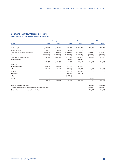## **Segment cash flow "Hotels & Resorts"**

|                                      |               | <b>Luxury</b> |               | <b>Upmarket</b> |            | <b>Others</b> |
|--------------------------------------|---------------|---------------|---------------|-----------------|------------|---------------|
| in EUR                               | 2009          | 2008*         | 2009          | 2008*           | 2009       | 2008*         |
| Cash receipts                        | 3,535,063     | 4,192,601     | 9,445,468     | 10,881,566      | 952,926    | 1,253,523     |
| Interest received                    | 7,057         | 20,460        | 13,401        | 11,210          |            |               |
| Cash paid for materials and services | (1,553,712)   | (1,389,339)   | (4,868,883)   | (5,972,639)     | (427, 883) | (474, 728)    |
| Personnel expenses                   | (1, 374, 679) | (1, 163, 832) | (3,206,788)   | (3,078,482)     | (373,021)  | (296, 201)    |
| Cash paid for other expenses         | (155, 635)    | (270, 802)    | (1, 317, 987) | (1,422,419)     | (27, 893)  | (50, 359)     |
| Income tax paid                      |               |               | (33, 107)     | (83,991)        |            |               |
|                                      | 458,095       | 1,389,088     | 32,104        | 335,244         | 124,129    | 432,236       |
| thereof in                           |               |               |               |                 |            |               |
| • Czech Republic                     | (54, 749)     | 508,974       | 477,710       | (50, 908)       |            |               |
| • Poland                             | 512,844       | 880,114       | (80, 499)     | 317,475         | 9,057      | 432,236       |
| • France                             |               | -             | (65, 870)     | (180, 393)      |            |               |
| • Romania                            |               | -             | (86, 226)     | 249,071         |            |               |
| • Germany                            |               |               | (213,010)     |                 |            |               |
| • Other                              |               |               |               |                 | 115,072    |               |
|                                      | 458,095       | 1,389,088     | 32,104        | 335,244         | 124,129    | 432,236       |

| Total for hotels in operation                                 | 614.328   | 2.156.567 |
|---------------------------------------------------------------|-----------|-----------|
| Less expenses for hotels under construction/in planning phase | (128.576) | (253.641) |
| Segment cash flow from operating activities                   | 485.752   | 1.902.926 |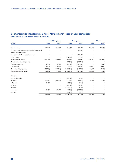## **Segment results "Development & Asset Management" – year-on-year comparison**

|                                                   |            | <b>Asset Management</b> |               | <b>Development</b> |            | <b>Others</b> |
|---------------------------------------------------|------------|-------------------------|---------------|--------------------|------------|---------------|
| in EUR                                            | 2009       | 2008*                   | 2009          | 2008*              | 2009       | 2008*         |
| Sales revenues                                    | 755,094    | 744,067                 | 264,001       | 372,056            | 441,513    | 273,206       |
| Changes in real estate projects under development |            |                         |               | (49, 667)          |            |               |
| Sale of subsidiaries and                          |            |                         |               |                    |            |               |
| negative goodwill recognized in income            |            |                         |               | 9,240,105          |            |               |
| Other income                                      |            |                         | 260,509       | 117,496            |            |               |
| <b>Expenses for materials</b>                     | (264, 097) | (413, 802)              | (67, 563)     | (45, 595)          | (321, 241) | (200, 854)    |
| Project development expenses                      |            |                         | (86,988)      | (159, 913)         |            |               |
| Personnel expenses                                | (6,023)    | (5,846)                 | (973, 883)    | (1,362,085)        |            | (3, 443)      |
| Depreciation                                      | (100, 441) | (106, 255)              | 2,570         | (101, 145)         | (24, 613)  | (17, 865)     |
| Other operating expenses                          | (107, 978) | (116, 323)              | (2,531,916)   | (943, 727)         | 40,437     | (13, 137)     |
| Segment operating result                          | 276,554    | 101,841                 | (3, 133, 270) | 7,067,525          | 136,097    | 37,908        |
| thereof in                                        |            |                         |               |                    |            |               |
| • Czech Republic                                  |            |                         | (65,989)      | 4,093              |            |               |
| • Poland                                          | 221,841    | (143, 361)              | 157,940       | (87, 412)          | 136,097    | 37,908        |
| • Germany                                         | 5,624      |                         | (4,906)       | (1, 110)           |            |               |
| • France                                          |            | -                       | (40, 898)     | 115,247            |            |               |
| • Austria                                         |            |                         | (3, 129, 311) | 7,199,644          |            |               |
| • Hungary                                         | 49,090     | 245,202                 | (11, 391)     | (156, 861)         |            |               |
| • Others                                          |            |                         | (38, 716)     | (6,076)            |            |               |
|                                                   | 276,554    | 101,841                 | (3, 133, 270) | 7,067,525          | 136,097    | 37,908        |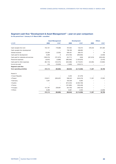## **Segment cash flow "Development & Asset Management" – year-on-year comparison**

|                                      |            | <b>Asset Management</b> |            | <b>Development</b> |            | <b>Others</b> |
|--------------------------------------|------------|-------------------------|------------|--------------------|------------|---------------|
| in EUR                               | 2009       | 2008*                   | 2009       | 2008*              | 2009       | 2008*         |
| Cash receipts from rent              | 704,101    | 776,866                 | 767,954    | 132,015            | 378,440    | 301,583       |
| Cash receipts from development       |            |                         | 758,180    | 496,803            |            |               |
| Interest received                    | 23,293     | (2, 332)                | 636,401    | 280,472            |            | 36            |
| Cash paid for development            | 6,299      | 0                       | (310, 700) | (290,063)          |            | (2,028)       |
| Cash paid for materials and services | (168, 419) | (731, 673)              | (24, 711)  | (548)              | (321, 619) | (226, 450)    |
| Personnel expenses                   | (6,034)    | (5,889)                 | (982,062)  | (1,424,676)        |            | (3, 443)      |
| Cash paid for other expenses         | (85, 116)  | (122, 275)              | (942, 380) | (2, 176, 301)      | (45, 465)  | (13,902)      |
| Income tax paid                      | (10)       | (10, 503)               | (1,626)    | (132, 211)         |            |               |
| Segment cash flow                    |            |                         |            |                    |            |               |
| from operating activities            | 474,114    | (95, 806)               | (98, 943)  | (3, 114, 508)      | 11,357     | 55,798        |
| thereof in                           |            |                         |            |                    |            |               |
| • Czech Republic                     |            |                         | 5,253      | (31, 379)          |            |               |
| • Poland                             | 318,811    | (326, 497)              | 598,342    | (240, 419)         | 11,357     | 57,825        |
| • Germany                            | 7,207      |                         | 432,558    | 8,265              |            |               |
| • Austria                            |            |                         | (914, 242) | (2,503,109)        |            |               |
| • France                             |            |                         | (191, 685) | (160, 448)         |            |               |
| • Hungary                            | 141,797    | 230,691                 | (35, 730)  | (189, 750)         |            |               |
| • Others                             | 6,299      |                         | 6,561      | 2,333              |            | (2,028)       |
|                                      | 474,114    | (95, 806)               | (98, 943)  | (3, 114, 508)      | 11,357     | 55,798        |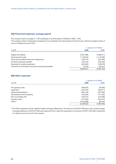## **[05] Personnel expenses, average payroll**

The Company had an average of 1,762 employees in the first quarter of 2009 (Q1 2008: 1,379). The average number of employees increased by 2% compared to the same period of the prior year, while the average number of rooms increased by around 18%.

| in EUR                                                |               | 1 January to 31 March |
|-------------------------------------------------------|---------------|-----------------------|
|                                                       | 2009          | 2008*                 |
| Wages and salaries                                    | (4,291,480)   | (4,608,411)           |
| Social security costs                                 | (1, 103, 204) | (1, 118, 238)         |
| Other payroll-related taxes and contributions         | (163, 214)    | (231, 839)            |
| Voluntary employee benefits                           | (109, 129)    | (139, 442)            |
| Expenses for posted employees                         | (292, 820)    | (183, 679)            |
| Payments for termination and post-employment benefits | (3,744)       | (20, 521)             |
|                                                       | (5,963,591)   | (6,302,128)           |

## **[06] Other expenses**

|                             |               | 1 January to 31 March |  |
|-----------------------------|---------------|-----------------------|--|
| in EUR                      | 2009          | 2008*                 |  |
| Pre-opening costs           | (390, 975)    | (30,000)              |  |
| Legal fees                  | (254, 522)    | (453, 811)            |  |
| General administration      | (362, 149)    | (507, 650)            |  |
| Advertisement and marketing | (129, 490)    | (171, 025)            |  |
| Non-recoverable VAT         | (100, 474)    | (144,990)             |  |
| Property costs              | (477, 023)    | (533, 572)            |  |
| Other*)                     | (2,733,999)   | (56, 787)             |  |
|                             | (4, 448, 633) | (1,897,835)           |  |

\*) The Other expenses include negative foreign exchange differences in the amount of EUR 647,080 (prior year: positive foreign exchange difference of EUR 237,484) and a payment from a cash flow guarantee in the amount of EUR 1.99 million transferred to a depot account set up for this purpose.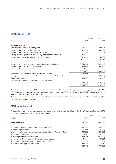## **[07] Financial result**

|                                                                      |               | 1 January to 31 March |
|----------------------------------------------------------------------|---------------|-----------------------|
| in EUR                                                               | 2009          | 2008*                 |
| <b>Financial revenue</b>                                             |               |                       |
| Interest income from cash management                                 | 130,001       | 282,937               |
| Interest on loans made to joint ventures                             | 513,996       | 401,128               |
| Interest on loans made to associated companies                       | 33,464        |                       |
| Foreign currency gains on interest-bearing loans denominated in CHF  | 244,714       |                       |
| Interest income from derivative financial instruments                | $*$ ) 210,000 | 50,509                |
|                                                                      | 1,132,175     | 734,575               |
| <b>Finance costs</b>                                                 |               |                       |
| Interest on short-term borrowings, project loans and other loans     | (3,549,144)   | (3,437,556)           |
| Interest on loans relating to joint ventures                         | (166, 983)    | (169, 022)            |
| Interest on loans from minority shareholders                         | (12, 657)     |                       |
|                                                                      | (3,728,785)   | (3,606,578)           |
| Fair value adjustment of derivative financial instruments            | (4,892)       | (97, 430)             |
| Foreign currency losses on interest-bearing loans denominated in CHF |               | (513, 578)            |
| Other finance costs                                                  | (165, 465)    | (46, 674)             |
| Gains/losses on the sale of available-for-sale investments           |               |                       |
| and derivative financial instruments                                 | *) 155,249    | (5,949,000)           |
|                                                                      | (3,743,893)   | (10, 213, 260)        |

The company sold a derivative (CMS spread cap) that it purchased in the prior year in the reporting period for a price of EUR 1,603,000. After deduction of the fair value as of 31 December 2008, net proceeds of EUR 155,249 were realized. This derivative also yielded interest income in the amount of EUR 210,000.

The sale of an available-for-sale investment (credit-spread index booster) in the prior year to prevent the total loss of the position resulted in a loss of EUR 5,949,000.

## **[08] Income taxes paid**

A reconciliation between tax expense and the product of accounting profit multiplied by the Group's domestic tax rate of 25% for the first quarter of 2009 (2008: 25%) is as follows:

|                                                                                    | 1 January to 31 March |             |  |
|------------------------------------------------------------------------------------|-----------------------|-------------|--|
| in EUR                                                                             | 2009                  | $2008*$     |  |
| <b>Profit before tax</b>                                                           | (9,927,725)           | (2,590,239) |  |
| Accounting profit before income tax *25% (2008: 25%)                               | 2,481,931             | 647,560     |  |
| $\pm$ Other foreign tax rates                                                      | (201, 486)            | (370, 475)  |  |
| $\pm$ Tax free profits from the participation exemption (Sec. 10 Austrian CIT Act) | (498, 302)            | 2,838,392   |  |
| $\pm$ Permanent differences                                                        | (973, 346)            | 37.535      |  |
| $\pm$ Unrecognized temporary differences                                           | (659, 935)            | (2,663,354) |  |
| ± Income from first-time recognition of deferred tax assets                        | 31,631                | 197,984     |  |
| $\pm$ Permanent differences relating to (negative) goodwill                        |                       |             |  |
| $\pm$ Effects of exchange rate fluctuations                                        | (528, 934)            | 18,160      |  |
|                                                                                    | (348.440)             | 705,803     |  |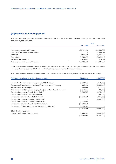## **[09] Property, plant and equipment**

The item "Property, plant and equipment" comprises land and rights equivalent to land, buildings including plant under construction, and equipment.

|                                       |               | as of       |
|---------------------------------------|---------------|-------------|
|                                       | 31.3.2009     | 31.3.2008*  |
| Net carrying amounts at 1 January     | 474,141,885   | 375,060,075 |
| Changes in the scope of consolidation |               | 24,885,414  |
| Additions                             | 34,915,599    | 19,947,929  |
| Depreciation                          | (3,344,480)   | (2,807,991) |
| Exchange adjustment *)                | (9, 119, 885) | 116,431     |
| Net carrying amounts as of 31 March   | 496,553,942   | 417,201,858 |
|                                       |               |             |

\*) The high value decreases resulting from exchange adjustments pertain primarily to the angelo Ekaterinburg construction project because the local currency (RUB) was identified as the project company's functional currency.

The "Other reserves" and the "Minority interests" reported in the statement of changes in equity were adjusted accordingly.

| Additions primarily relate to the following projects:                                  | 31.03.2009     | 31.03.2008*)   |
|----------------------------------------------------------------------------------------|----------------|----------------|
|                                                                                        |                |                |
| Project development progress "Airport City St. Petersburg"                             | (1,062,498)    | (3,248,810)    |
| Expansion of "angelo airport Bucharest" (positive because of VAT refund)               | 265,855        | (1, 253, 815)  |
| Expansion of "Hotel Chopin"                                                            | (30,681)       | (573, 117)     |
| Acquisition of land (slaughterhouses, property adjacent to Parkur Tower in prior year) | (1,054,905)    | (422, 072)     |
| Construction progress "andel's Hotel Berlin"                                           | (6,334,310)    | (4,975,114)    |
| Construction progress "hotel angelo Plzen"                                             |                | (769, 599)     |
| Construction progress "andel's hotel Łódź"                                             | (10, 814, 291) | (3,214,873)    |
| Construction progress "angelo hotel Munich"                                            |                | (1,548,117)    |
| Construction progress "angelo hotel Katowice"                                          | (2,073,472)    |                |
| Construction progress "angelo hotel Ekaterinburg"                                      | (14,834,624)   |                |
| Conversion of "Hotel Magic Circus" (formerly "Holiday Inn")                            | (2,536,047)    |                |
|                                                                                        | (38, 474, 973) | (16,005,517)   |
| Other developments and                                                                 |                |                |
| current investments related to hotels                                                  | (1,449,512)    | (1,834,974)    |
|                                                                                        | (39, 924, 485) | (17, 840, 491) |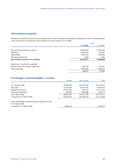## **[10] Investment properties**

Investment properties comprise land and rights similar to land ownership and buildings including plant under construction (plant under construction was reported under tangible non-current assets in Q1 of 2008).

|                                      |            | as of      |
|--------------------------------------|------------|------------|
|                                      | 31.3.2009  | 31.3.2008* |
| Net carrying amounts at 1 January    | 39,255,823 | 17,679,162 |
| Additions                            | 3,249,620  | 102,567    |
| Depreciation                         | (100, 441) | (120,090)  |
| Exchange adjustment                  | 7,269      | 1,307      |
| Net carrying amounts as of 31 March  | 42,412,271 | 17,662,946 |
| Result from "Investment properties": |            |            |
| Rental income and charged expenses   | 763,719    | 433,621    |
| Direct expenses                      | (264, 097) | (259, 627) |
|                                      | 499.622    | 173,994    |
|                                      |            |            |

## **[11] Changes in financial liabilities – overview**

|                                                           | Current     | Non-current   | Total         |
|-----------------------------------------------------------|-------------|---------------|---------------|
| At 1 January 2009                                         | 90,006,995  | 352,232,532   | 442,239,527   |
| New debt                                                  | 13,578,038  | 25,916,976    | 39,495,014    |
| Repayment of loans                                        | (3,707,304) | 593.145       | (3, 114, 159) |
| Exchange adjustment                                       | (39, 784)   | (400, 888)    | (440, 671)    |
| At 31 March 2009                                          | 99,837,944  | 378, 341, 766 | 478,179,711   |
| compared to 31 March 2008                                 | 90,259,374  | 225,456,546   | 315,715,920   |
| Loans attributable to disposal groups available for sale: |             |               |               |
| At 31 March 2009                                          |             |               |               |
| compared to 31 March 2008                                 | 3.604.254   |               | 3,604,254     |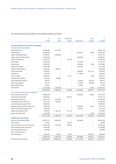The following loans are allocated to the individual projects as follows:

| 1.1.2009<br>debt<br>interest<br>31.3.2009<br>Repayment<br>changes<br>a) Project-related loans secured by mortgages<br>Subsidiaries (full consolidation)<br>andel's hotel Łódź<br>40,607,159<br>33,833,284<br>6,773,875<br><b>Hotel Diplomat</b><br>34,406,569<br>(503, 877)<br>4,689<br>33,907,381<br>21,569,807<br>3,684,950<br>25,254,757<br>angelo hotel Ekaterinburg<br>angelo airport hotel Bucharest<br>18,026,997<br>18,487,683<br>(460, 686)<br>$\overline{\phantom{0}}$<br>andel's hotel Krakow<br>15,470,715<br>161,738<br>15,632,453<br><b>Hotel Palace</b><br>14,876,500<br>(174, 358)<br>14,702,142<br>$\overline{\phantom{0}}$<br>12,033,163<br>11,875,805<br><b>Hotel Chopin</b><br>(159,004)<br>1,646<br>10,327,898<br>10,172,498<br>angelo hotel Prague<br>(155, 400)<br>9,052,834<br>1,596,674<br>10,649,508<br>Erszebet office building<br>$\equiv$<br>Hotel Amber Baltic<br>8,462,627<br>(226, 050)<br>(244, 714)<br>7,991,863<br>7,454,637<br>7,282,832<br><b>Hotel Savoy</b><br>(171, 806)<br>Hotel Le Palais<br>6,876,973<br>77,771<br>1,000<br>6,955,744<br>Cetelem office building<br>4,214,899<br>(14, 899)<br>4,200,000<br>299,421<br>Gas heating plant Warsaw<br>384,831<br>(44, 626)<br>(40, 784)<br>241,270<br>(19, 339)<br>195,875<br>Warsaw gas pipeline<br>(26, 055)<br>Sajka office building<br>82,207<br>(2,857)<br>79,350<br>Hotel Dvořák<br>21,135,056<br>1,818,538<br>3,640<br>22,957,234<br>239,509<br>218,910,954<br>13,859,138<br>(1,918,004)<br>(300, 577)<br>230,791,019<br>Joint ventures (proportionate consolidation)<br>Hotel InterContinental 50%<br>30,980,463<br>(250,000)<br>30,764,155<br>33,692<br>Hotel Dream Castle 50%<br>18,529,951<br>267,167<br>18,797,118<br>andel's hotel Berlin 50%<br>29,020,161<br>3,431,894<br>32,452,055<br>Hotel Magic Circus Paris 50%<br>8,001,875<br>1,925,000<br>9,926,875<br>Leuchtenbergring project 49.5%<br>15,680,994<br>15,680,994<br>Sobieski hotel and office building 25%<br>8,380,836<br>(208, 260)<br>10,551<br>8,183,126<br>Parkur Tower office building 50%<br>(56, 015)<br>5,551,544<br>5,607,559<br>angelo hotel Katowice 50%<br>2,732,612<br>127,178<br>4,703,954<br>1,844,164<br>angelo hotel Plzen 50%<br>6,702,000<br>2,400<br>6,704,400<br>344,547,403<br>21,060,196<br>633,854<br>(2,432,280)<br>(253, 934)<br>363,555,240<br>b) Other loans and facilities<br>Short-term borrowing facilities<br>56,273,713<br>(681, 880)<br>69,061,050<br>13,469,218<br><b>Current loans</b><br>29,313<br>39,195<br>68,509<br>Non-current loans from joint ventures<br>29,355,399<br>166,983<br>33,569,422<br>4,047,039<br>Lease purchase option and loans<br>8,355,962<br>8,355,962<br>650,995<br>650,995<br>Non-interest bearing loans<br>Non-current loans from<br>65,872<br>minority interests<br>3,026,742<br>12,657<br>2,918,533<br>(186, 737)<br>17,582,128<br>(681, 880)<br>97,692,124<br>218,836<br>(186, 737)<br>114,624,471 |                            | At          | <b>New</b> | Capitalized |               | Other      | At          |
|--------------------------------------------------------------------------------------------------------------------------------------------------------------------------------------------------------------------------------------------------------------------------------------------------------------------------------------------------------------------------------------------------------------------------------------------------------------------------------------------------------------------------------------------------------------------------------------------------------------------------------------------------------------------------------------------------------------------------------------------------------------------------------------------------------------------------------------------------------------------------------------------------------------------------------------------------------------------------------------------------------------------------------------------------------------------------------------------------------------------------------------------------------------------------------------------------------------------------------------------------------------------------------------------------------------------------------------------------------------------------------------------------------------------------------------------------------------------------------------------------------------------------------------------------------------------------------------------------------------------------------------------------------------------------------------------------------------------------------------------------------------------------------------------------------------------------------------------------------------------------------------------------------------------------------------------------------------------------------------------------------------------------------------------------------------------------------------------------------------------------------------------------------------------------------------------------------------------------------------------------------------------------------------------------------------------------------------------------------------------------------------------------------------------------------------------------------------------------------------------------------------------------------------------------------------------------------------------------------------------------------------------------------------------------------------------------------------------------------------------------------------------------------------------------------------------------------------------------------------------------------------------------------------------------------------|----------------------------|-------------|------------|-------------|---------------|------------|-------------|
|                                                                                                                                                                                                                                                                                                                                                                                                                                                                                                                                                                                                                                                                                                                                                                                                                                                                                                                                                                                                                                                                                                                                                                                                                                                                                                                                                                                                                                                                                                                                                                                                                                                                                                                                                                                                                                                                                                                                                                                                                                                                                                                                                                                                                                                                                                                                                                                                                                                                                                                                                                                                                                                                                                                                                                                                                                                                                                                                      |                            |             |            |             |               |            |             |
|                                                                                                                                                                                                                                                                                                                                                                                                                                                                                                                                                                                                                                                                                                                                                                                                                                                                                                                                                                                                                                                                                                                                                                                                                                                                                                                                                                                                                                                                                                                                                                                                                                                                                                                                                                                                                                                                                                                                                                                                                                                                                                                                                                                                                                                                                                                                                                                                                                                                                                                                                                                                                                                                                                                                                                                                                                                                                                                                      |                            |             |            |             |               |            |             |
|                                                                                                                                                                                                                                                                                                                                                                                                                                                                                                                                                                                                                                                                                                                                                                                                                                                                                                                                                                                                                                                                                                                                                                                                                                                                                                                                                                                                                                                                                                                                                                                                                                                                                                                                                                                                                                                                                                                                                                                                                                                                                                                                                                                                                                                                                                                                                                                                                                                                                                                                                                                                                                                                                                                                                                                                                                                                                                                                      |                            |             |            |             |               |            |             |
|                                                                                                                                                                                                                                                                                                                                                                                                                                                                                                                                                                                                                                                                                                                                                                                                                                                                                                                                                                                                                                                                                                                                                                                                                                                                                                                                                                                                                                                                                                                                                                                                                                                                                                                                                                                                                                                                                                                                                                                                                                                                                                                                                                                                                                                                                                                                                                                                                                                                                                                                                                                                                                                                                                                                                                                                                                                                                                                                      |                            |             |            |             |               |            |             |
|                                                                                                                                                                                                                                                                                                                                                                                                                                                                                                                                                                                                                                                                                                                                                                                                                                                                                                                                                                                                                                                                                                                                                                                                                                                                                                                                                                                                                                                                                                                                                                                                                                                                                                                                                                                                                                                                                                                                                                                                                                                                                                                                                                                                                                                                                                                                                                                                                                                                                                                                                                                                                                                                                                                                                                                                                                                                                                                                      |                            |             |            |             |               |            |             |
|                                                                                                                                                                                                                                                                                                                                                                                                                                                                                                                                                                                                                                                                                                                                                                                                                                                                                                                                                                                                                                                                                                                                                                                                                                                                                                                                                                                                                                                                                                                                                                                                                                                                                                                                                                                                                                                                                                                                                                                                                                                                                                                                                                                                                                                                                                                                                                                                                                                                                                                                                                                                                                                                                                                                                                                                                                                                                                                                      |                            |             |            |             |               |            |             |
|                                                                                                                                                                                                                                                                                                                                                                                                                                                                                                                                                                                                                                                                                                                                                                                                                                                                                                                                                                                                                                                                                                                                                                                                                                                                                                                                                                                                                                                                                                                                                                                                                                                                                                                                                                                                                                                                                                                                                                                                                                                                                                                                                                                                                                                                                                                                                                                                                                                                                                                                                                                                                                                                                                                                                                                                                                                                                                                                      |                            |             |            |             |               |            |             |
|                                                                                                                                                                                                                                                                                                                                                                                                                                                                                                                                                                                                                                                                                                                                                                                                                                                                                                                                                                                                                                                                                                                                                                                                                                                                                                                                                                                                                                                                                                                                                                                                                                                                                                                                                                                                                                                                                                                                                                                                                                                                                                                                                                                                                                                                                                                                                                                                                                                                                                                                                                                                                                                                                                                                                                                                                                                                                                                                      |                            |             |            |             |               |            |             |
|                                                                                                                                                                                                                                                                                                                                                                                                                                                                                                                                                                                                                                                                                                                                                                                                                                                                                                                                                                                                                                                                                                                                                                                                                                                                                                                                                                                                                                                                                                                                                                                                                                                                                                                                                                                                                                                                                                                                                                                                                                                                                                                                                                                                                                                                                                                                                                                                                                                                                                                                                                                                                                                                                                                                                                                                                                                                                                                                      |                            |             |            |             |               |            |             |
|                                                                                                                                                                                                                                                                                                                                                                                                                                                                                                                                                                                                                                                                                                                                                                                                                                                                                                                                                                                                                                                                                                                                                                                                                                                                                                                                                                                                                                                                                                                                                                                                                                                                                                                                                                                                                                                                                                                                                                                                                                                                                                                                                                                                                                                                                                                                                                                                                                                                                                                                                                                                                                                                                                                                                                                                                                                                                                                                      |                            |             |            |             |               |            |             |
|                                                                                                                                                                                                                                                                                                                                                                                                                                                                                                                                                                                                                                                                                                                                                                                                                                                                                                                                                                                                                                                                                                                                                                                                                                                                                                                                                                                                                                                                                                                                                                                                                                                                                                                                                                                                                                                                                                                                                                                                                                                                                                                                                                                                                                                                                                                                                                                                                                                                                                                                                                                                                                                                                                                                                                                                                                                                                                                                      |                            |             |            |             |               |            |             |
|                                                                                                                                                                                                                                                                                                                                                                                                                                                                                                                                                                                                                                                                                                                                                                                                                                                                                                                                                                                                                                                                                                                                                                                                                                                                                                                                                                                                                                                                                                                                                                                                                                                                                                                                                                                                                                                                                                                                                                                                                                                                                                                                                                                                                                                                                                                                                                                                                                                                                                                                                                                                                                                                                                                                                                                                                                                                                                                                      |                            |             |            |             |               |            |             |
|                                                                                                                                                                                                                                                                                                                                                                                                                                                                                                                                                                                                                                                                                                                                                                                                                                                                                                                                                                                                                                                                                                                                                                                                                                                                                                                                                                                                                                                                                                                                                                                                                                                                                                                                                                                                                                                                                                                                                                                                                                                                                                                                                                                                                                                                                                                                                                                                                                                                                                                                                                                                                                                                                                                                                                                                                                                                                                                                      |                            |             |            |             |               |            |             |
|                                                                                                                                                                                                                                                                                                                                                                                                                                                                                                                                                                                                                                                                                                                                                                                                                                                                                                                                                                                                                                                                                                                                                                                                                                                                                                                                                                                                                                                                                                                                                                                                                                                                                                                                                                                                                                                                                                                                                                                                                                                                                                                                                                                                                                                                                                                                                                                                                                                                                                                                                                                                                                                                                                                                                                                                                                                                                                                                      |                            |             |            |             |               |            |             |
|                                                                                                                                                                                                                                                                                                                                                                                                                                                                                                                                                                                                                                                                                                                                                                                                                                                                                                                                                                                                                                                                                                                                                                                                                                                                                                                                                                                                                                                                                                                                                                                                                                                                                                                                                                                                                                                                                                                                                                                                                                                                                                                                                                                                                                                                                                                                                                                                                                                                                                                                                                                                                                                                                                                                                                                                                                                                                                                                      |                            |             |            |             |               |            |             |
|                                                                                                                                                                                                                                                                                                                                                                                                                                                                                                                                                                                                                                                                                                                                                                                                                                                                                                                                                                                                                                                                                                                                                                                                                                                                                                                                                                                                                                                                                                                                                                                                                                                                                                                                                                                                                                                                                                                                                                                                                                                                                                                                                                                                                                                                                                                                                                                                                                                                                                                                                                                                                                                                                                                                                                                                                                                                                                                                      |                            |             |            |             |               |            |             |
|                                                                                                                                                                                                                                                                                                                                                                                                                                                                                                                                                                                                                                                                                                                                                                                                                                                                                                                                                                                                                                                                                                                                                                                                                                                                                                                                                                                                                                                                                                                                                                                                                                                                                                                                                                                                                                                                                                                                                                                                                                                                                                                                                                                                                                                                                                                                                                                                                                                                                                                                                                                                                                                                                                                                                                                                                                                                                                                                      |                            |             |            |             |               |            |             |
|                                                                                                                                                                                                                                                                                                                                                                                                                                                                                                                                                                                                                                                                                                                                                                                                                                                                                                                                                                                                                                                                                                                                                                                                                                                                                                                                                                                                                                                                                                                                                                                                                                                                                                                                                                                                                                                                                                                                                                                                                                                                                                                                                                                                                                                                                                                                                                                                                                                                                                                                                                                                                                                                                                                                                                                                                                                                                                                                      |                            |             |            |             |               |            |             |
|                                                                                                                                                                                                                                                                                                                                                                                                                                                                                                                                                                                                                                                                                                                                                                                                                                                                                                                                                                                                                                                                                                                                                                                                                                                                                                                                                                                                                                                                                                                                                                                                                                                                                                                                                                                                                                                                                                                                                                                                                                                                                                                                                                                                                                                                                                                                                                                                                                                                                                                                                                                                                                                                                                                                                                                                                                                                                                                                      |                            |             |            |             |               |            |             |
|                                                                                                                                                                                                                                                                                                                                                                                                                                                                                                                                                                                                                                                                                                                                                                                                                                                                                                                                                                                                                                                                                                                                                                                                                                                                                                                                                                                                                                                                                                                                                                                                                                                                                                                                                                                                                                                                                                                                                                                                                                                                                                                                                                                                                                                                                                                                                                                                                                                                                                                                                                                                                                                                                                                                                                                                                                                                                                                                      |                            |             |            |             |               |            |             |
|                                                                                                                                                                                                                                                                                                                                                                                                                                                                                                                                                                                                                                                                                                                                                                                                                                                                                                                                                                                                                                                                                                                                                                                                                                                                                                                                                                                                                                                                                                                                                                                                                                                                                                                                                                                                                                                                                                                                                                                                                                                                                                                                                                                                                                                                                                                                                                                                                                                                                                                                                                                                                                                                                                                                                                                                                                                                                                                                      |                            |             |            |             |               |            |             |
|                                                                                                                                                                                                                                                                                                                                                                                                                                                                                                                                                                                                                                                                                                                                                                                                                                                                                                                                                                                                                                                                                                                                                                                                                                                                                                                                                                                                                                                                                                                                                                                                                                                                                                                                                                                                                                                                                                                                                                                                                                                                                                                                                                                                                                                                                                                                                                                                                                                                                                                                                                                                                                                                                                                                                                                                                                                                                                                                      |                            |             |            |             |               |            |             |
|                                                                                                                                                                                                                                                                                                                                                                                                                                                                                                                                                                                                                                                                                                                                                                                                                                                                                                                                                                                                                                                                                                                                                                                                                                                                                                                                                                                                                                                                                                                                                                                                                                                                                                                                                                                                                                                                                                                                                                                                                                                                                                                                                                                                                                                                                                                                                                                                                                                                                                                                                                                                                                                                                                                                                                                                                                                                                                                                      |                            |             |            |             |               |            |             |
|                                                                                                                                                                                                                                                                                                                                                                                                                                                                                                                                                                                                                                                                                                                                                                                                                                                                                                                                                                                                                                                                                                                                                                                                                                                                                                                                                                                                                                                                                                                                                                                                                                                                                                                                                                                                                                                                                                                                                                                                                                                                                                                                                                                                                                                                                                                                                                                                                                                                                                                                                                                                                                                                                                                                                                                                                                                                                                                                      |                            |             |            |             |               |            |             |
|                                                                                                                                                                                                                                                                                                                                                                                                                                                                                                                                                                                                                                                                                                                                                                                                                                                                                                                                                                                                                                                                                                                                                                                                                                                                                                                                                                                                                                                                                                                                                                                                                                                                                                                                                                                                                                                                                                                                                                                                                                                                                                                                                                                                                                                                                                                                                                                                                                                                                                                                                                                                                                                                                                                                                                                                                                                                                                                                      |                            |             |            |             |               |            |             |
|                                                                                                                                                                                                                                                                                                                                                                                                                                                                                                                                                                                                                                                                                                                                                                                                                                                                                                                                                                                                                                                                                                                                                                                                                                                                                                                                                                                                                                                                                                                                                                                                                                                                                                                                                                                                                                                                                                                                                                                                                                                                                                                                                                                                                                                                                                                                                                                                                                                                                                                                                                                                                                                                                                                                                                                                                                                                                                                                      |                            |             |            |             |               |            |             |
|                                                                                                                                                                                                                                                                                                                                                                                                                                                                                                                                                                                                                                                                                                                                                                                                                                                                                                                                                                                                                                                                                                                                                                                                                                                                                                                                                                                                                                                                                                                                                                                                                                                                                                                                                                                                                                                                                                                                                                                                                                                                                                                                                                                                                                                                                                                                                                                                                                                                                                                                                                                                                                                                                                                                                                                                                                                                                                                                      |                            |             |            |             |               |            |             |
|                                                                                                                                                                                                                                                                                                                                                                                                                                                                                                                                                                                                                                                                                                                                                                                                                                                                                                                                                                                                                                                                                                                                                                                                                                                                                                                                                                                                                                                                                                                                                                                                                                                                                                                                                                                                                                                                                                                                                                                                                                                                                                                                                                                                                                                                                                                                                                                                                                                                                                                                                                                                                                                                                                                                                                                                                                                                                                                                      |                            |             |            |             |               |            |             |
|                                                                                                                                                                                                                                                                                                                                                                                                                                                                                                                                                                                                                                                                                                                                                                                                                                                                                                                                                                                                                                                                                                                                                                                                                                                                                                                                                                                                                                                                                                                                                                                                                                                                                                                                                                                                                                                                                                                                                                                                                                                                                                                                                                                                                                                                                                                                                                                                                                                                                                                                                                                                                                                                                                                                                                                                                                                                                                                                      |                            |             |            |             |               |            |             |
|                                                                                                                                                                                                                                                                                                                                                                                                                                                                                                                                                                                                                                                                                                                                                                                                                                                                                                                                                                                                                                                                                                                                                                                                                                                                                                                                                                                                                                                                                                                                                                                                                                                                                                                                                                                                                                                                                                                                                                                                                                                                                                                                                                                                                                                                                                                                                                                                                                                                                                                                                                                                                                                                                                                                                                                                                                                                                                                                      |                            |             |            |             |               |            |             |
|                                                                                                                                                                                                                                                                                                                                                                                                                                                                                                                                                                                                                                                                                                                                                                                                                                                                                                                                                                                                                                                                                                                                                                                                                                                                                                                                                                                                                                                                                                                                                                                                                                                                                                                                                                                                                                                                                                                                                                                                                                                                                                                                                                                                                                                                                                                                                                                                                                                                                                                                                                                                                                                                                                                                                                                                                                                                                                                                      |                            |             |            |             |               |            |             |
|                                                                                                                                                                                                                                                                                                                                                                                                                                                                                                                                                                                                                                                                                                                                                                                                                                                                                                                                                                                                                                                                                                                                                                                                                                                                                                                                                                                                                                                                                                                                                                                                                                                                                                                                                                                                                                                                                                                                                                                                                                                                                                                                                                                                                                                                                                                                                                                                                                                                                                                                                                                                                                                                                                                                                                                                                                                                                                                                      |                            |             |            |             |               |            |             |
|                                                                                                                                                                                                                                                                                                                                                                                                                                                                                                                                                                                                                                                                                                                                                                                                                                                                                                                                                                                                                                                                                                                                                                                                                                                                                                                                                                                                                                                                                                                                                                                                                                                                                                                                                                                                                                                                                                                                                                                                                                                                                                                                                                                                                                                                                                                                                                                                                                                                                                                                                                                                                                                                                                                                                                                                                                                                                                                                      |                            |             |            |             |               |            |             |
|                                                                                                                                                                                                                                                                                                                                                                                                                                                                                                                                                                                                                                                                                                                                                                                                                                                                                                                                                                                                                                                                                                                                                                                                                                                                                                                                                                                                                                                                                                                                                                                                                                                                                                                                                                                                                                                                                                                                                                                                                                                                                                                                                                                                                                                                                                                                                                                                                                                                                                                                                                                                                                                                                                                                                                                                                                                                                                                                      |                            |             |            |             |               |            |             |
|                                                                                                                                                                                                                                                                                                                                                                                                                                                                                                                                                                                                                                                                                                                                                                                                                                                                                                                                                                                                                                                                                                                                                                                                                                                                                                                                                                                                                                                                                                                                                                                                                                                                                                                                                                                                                                                                                                                                                                                                                                                                                                                                                                                                                                                                                                                                                                                                                                                                                                                                                                                                                                                                                                                                                                                                                                                                                                                                      |                            |             |            |             |               |            |             |
|                                                                                                                                                                                                                                                                                                                                                                                                                                                                                                                                                                                                                                                                                                                                                                                                                                                                                                                                                                                                                                                                                                                                                                                                                                                                                                                                                                                                                                                                                                                                                                                                                                                                                                                                                                                                                                                                                                                                                                                                                                                                                                                                                                                                                                                                                                                                                                                                                                                                                                                                                                                                                                                                                                                                                                                                                                                                                                                                      |                            |             |            |             |               |            |             |
|                                                                                                                                                                                                                                                                                                                                                                                                                                                                                                                                                                                                                                                                                                                                                                                                                                                                                                                                                                                                                                                                                                                                                                                                                                                                                                                                                                                                                                                                                                                                                                                                                                                                                                                                                                                                                                                                                                                                                                                                                                                                                                                                                                                                                                                                                                                                                                                                                                                                                                                                                                                                                                                                                                                                                                                                                                                                                                                                      |                            |             |            |             |               |            |             |
|                                                                                                                                                                                                                                                                                                                                                                                                                                                                                                                                                                                                                                                                                                                                                                                                                                                                                                                                                                                                                                                                                                                                                                                                                                                                                                                                                                                                                                                                                                                                                                                                                                                                                                                                                                                                                                                                                                                                                                                                                                                                                                                                                                                                                                                                                                                                                                                                                                                                                                                                                                                                                                                                                                                                                                                                                                                                                                                                      |                            |             |            |             |               |            |             |
|                                                                                                                                                                                                                                                                                                                                                                                                                                                                                                                                                                                                                                                                                                                                                                                                                                                                                                                                                                                                                                                                                                                                                                                                                                                                                                                                                                                                                                                                                                                                                                                                                                                                                                                                                                                                                                                                                                                                                                                                                                                                                                                                                                                                                                                                                                                                                                                                                                                                                                                                                                                                                                                                                                                                                                                                                                                                                                                                      |                            |             |            |             |               |            |             |
|                                                                                                                                                                                                                                                                                                                                                                                                                                                                                                                                                                                                                                                                                                                                                                                                                                                                                                                                                                                                                                                                                                                                                                                                                                                                                                                                                                                                                                                                                                                                                                                                                                                                                                                                                                                                                                                                                                                                                                                                                                                                                                                                                                                                                                                                                                                                                                                                                                                                                                                                                                                                                                                                                                                                                                                                                                                                                                                                      |                            |             |            |             |               |            |             |
|                                                                                                                                                                                                                                                                                                                                                                                                                                                                                                                                                                                                                                                                                                                                                                                                                                                                                                                                                                                                                                                                                                                                                                                                                                                                                                                                                                                                                                                                                                                                                                                                                                                                                                                                                                                                                                                                                                                                                                                                                                                                                                                                                                                                                                                                                                                                                                                                                                                                                                                                                                                                                                                                                                                                                                                                                                                                                                                                      |                            |             |            |             |               |            |             |
|                                                                                                                                                                                                                                                                                                                                                                                                                                                                                                                                                                                                                                                                                                                                                                                                                                                                                                                                                                                                                                                                                                                                                                                                                                                                                                                                                                                                                                                                                                                                                                                                                                                                                                                                                                                                                                                                                                                                                                                                                                                                                                                                                                                                                                                                                                                                                                                                                                                                                                                                                                                                                                                                                                                                                                                                                                                                                                                                      |                            |             |            |             |               |            |             |
|                                                                                                                                                                                                                                                                                                                                                                                                                                                                                                                                                                                                                                                                                                                                                                                                                                                                                                                                                                                                                                                                                                                                                                                                                                                                                                                                                                                                                                                                                                                                                                                                                                                                                                                                                                                                                                                                                                                                                                                                                                                                                                                                                                                                                                                                                                                                                                                                                                                                                                                                                                                                                                                                                                                                                                                                                                                                                                                                      | Total loans and borrowings | 442,239,527 | 38,642,324 | 852,690     | (3, 114, 159) | (440, 671) | 478,179,711 |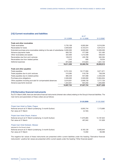## **[12] Current receivables and liabilities**

|                                                                                    |            | as of      |            |
|------------------------------------------------------------------------------------|------------|------------|------------|
|                                                                                    | 31.3.2009  | 31.12.2008 | 31.3.2008* |
| Trade and other receivables                                                        |            |            |            |
| Trade receivables                                                                  | 5,735,108  | 6,005,584  | 8,316,284  |
| Receivables for taxes                                                              | 2,849,928  | 6,723,074  | 6,815,513  |
| Extended purchase price receivables relating to the sale of subsidiaries 8,000,000 |            | 8,000,000  | 12,000,000 |
| Advance payments made                                                              | 600,702    | 477,590    | 531,492    |
| Other receivables and assets                                                       | 322,000    | 1,212,508  | 636,554    |
| Receivables due from joint ventures                                                | 128,010    | 435,780    | 562,394    |
| Receivables due from related parties                                               | 1,243      | 606        | 19,534     |
| Deferred expenses                                                                  | 874,568    | 514,624    | 1,021,142  |
|                                                                                    | 18,511,559 | 23,369,764 | 29,902,912 |
| Trade and other payables                                                           |            |            |            |
| Trade payables                                                                     | 8,751,534  | 19,177,956 | 9,071,971  |
| Trade payables due to joint ventures                                               | 510,585    | 519,739    | 758,258    |
| Trade payables due to related parties                                              | 885,549    | 947,098    | 2,403,349  |
| Purchase price obligations                                                         | 2,500,000  | 2,500,000  | 13,904,934 |
| Other payables including accruals for compensated absences                         | 3,016,001  | 2,958,730  | 3,777,720  |
| Advance payments received                                                          | 1,324,051  | 924,202    | 1,055,606  |
|                                                                                    | 16,987,724 | 27,027,724 | 30,971,838 |
|                                                                                    |            |            |            |

## **[13] Derivative financial instruments**

As of 31 March 2009, there are derivative financial instruments (interest rate collars) relating to the Group's financial liabilities. The main terms and parameters of these collars are as follows:

|                                                           | 31.03.2009 | 31.03.2008* |
|-----------------------------------------------------------|------------|-------------|
| Project Ioan Hotel Le Palais, Praque                      |            |             |
| Notional amount at 31 March (underlying: 3-month Euribor) | 6,955,744  | 7,173,885   |
| Fair value at 31 March                                    | (5, 162)   |             |
| Project Ioan Hotel Chopin, Krakow                         |            |             |
| Notional amount at 31 March (underlying: 3-month Euribor) | 11,875,805 | 12,187,624  |
| Fair value at 31 March                                    | 497.842    | 131.926     |
| Project Ioan Hotel Sobieski, Warsaw                       |            |             |
| (adjusted for the Group's share)                          |            |             |
| Notional amount at 31 March (underlying: 3-month Euribor) | 8,183,126  | 8,483,944   |
| Fair value at 31 March                                    | 14.932     | 69.396      |

The negative fair values of these instruments are presented within current liabilities under the heading "Derivative financial instruments", positive fair values are presented within current assets under the heading "Other financial assets".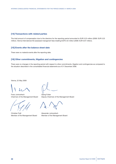## **[14] Transactions with related parties**

The total amount of compensation due to the directors for the reporting period amounted to EUR 0.23 million (2008: EUR 0.23 million). Vienna International AG assessed managment fees totalling EUR 0.42 million (2008: EUR 0.67 million).

## **[15] Events after the balance sheet date**

There were no material events after the reporting date.

## **[16] Other commitments, litigation and contingencies**

There were no changes in the reporting period with respect to other commitments, litigation and contingencies as compared to the situation described in the consolidated financial statements as of 31 December 2008.

Vienna, 22 May 2009

Franz Jurkowitsch Georg Folian

Christian Fojtl **Alexander Jurkowitsch** Member of the Management Board Member of the Management Board

Chairman of the Management Board Deputy Chairman of the Management Board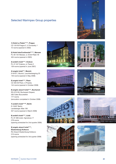# Selected Warimpex Group properties

**1) Hotel Le Palais\*\*\*\*\*, Prague** CZ-120 00 Prague 2, U Zvonarsky 1 72 rooms (opened in 2002)

**2) Hotel InterContinental\*\*\*\*\*, Warsaw** PL-00 125 Warsaw, ul. Emilii Plater 49 404 rooms (opened in 2003)

**3) andel's hotel\*\*\*\*, Krakow** PL-31 547 Krakow, ul. Pawia 3 159 rooms (opened in June 2007)

**4) angelo hotel\*\*\*, Munich** D-81677, Munich, Leuchtenbergring 20 146 rooms (opened in May 2008)

**5) angelo hotel\*\*\*\*, Plzen** CZ-305 00 Plzen, U Prazdoj 144 rooms (opened in October 2008)

**6) angelo airport hotel\*\*\*\*, Bucharest**  RO-075100, Bucharest-Otopeni, 283 Caleo Bucurestilor 177 rooms (renovation completed in October 2008)

**7) andel's hotel\*\*\*\*<sup>S</sup>, Berlin** D-10407 Berlin, Landsberger Allee 106 557 rooms (opened in March 2009)

**8) andel's hotel\*\*\*\*, Łódź** PL-91 065 Łódź, Ogrodowa 17 278 rooms (opening scheduled for 2nd quarter 2009)

**9) angelo airport hotel\*\*\*\*, Ekaterinburg-Koltsovo** RU-Airport Ekaterinburg-Koltsovo 210 rooms (opening scheduled for 3rd quarter 2009)